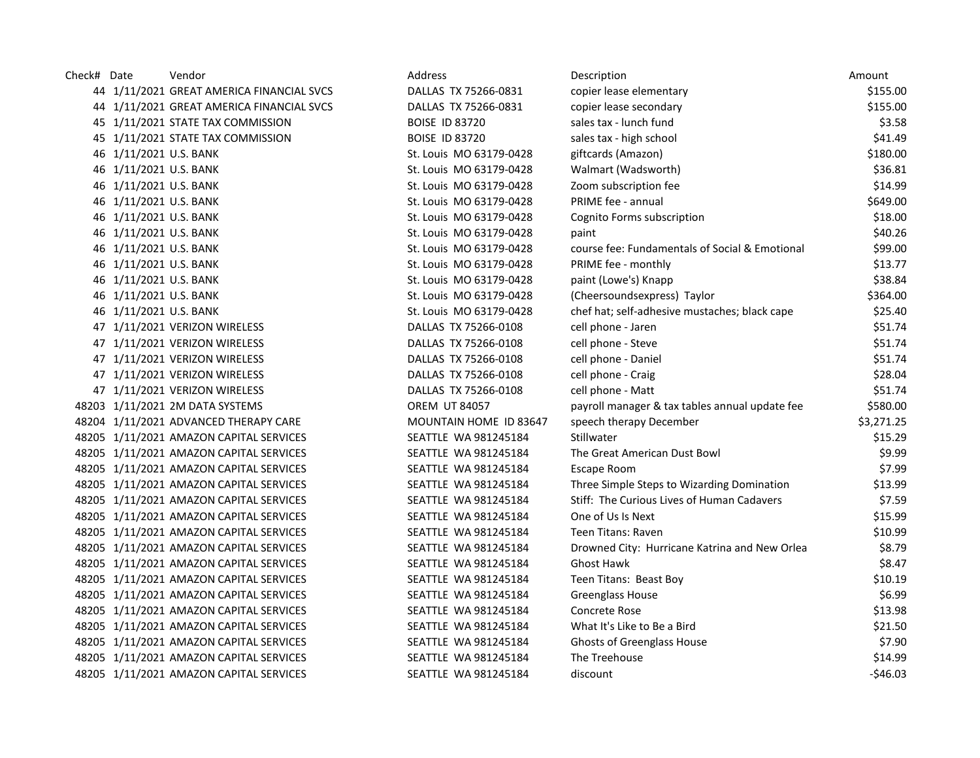| Check# Date |                        | Vendor                                    | Address                 | Description                                    | Amount     |
|-------------|------------------------|-------------------------------------------|-------------------------|------------------------------------------------|------------|
|             |                        | 44 1/11/2021 GREAT AMERICA FINANCIAL SVCS | DALLAS TX 75266-0831    | copier lease elementary                        | \$155.00   |
|             |                        | 44 1/11/2021 GREAT AMERICA FINANCIAL SVCS | DALLAS TX 75266-0831    | copier lease secondary                         | \$155.00   |
|             |                        | 45 1/11/2021 STATE TAX COMMISSION         | <b>BOISE ID 83720</b>   | sales tax - lunch fund                         | \$3.58     |
|             |                        | 45 1/11/2021 STATE TAX COMMISSION         | <b>BOISE ID 83720</b>   | sales tax - high school                        | \$41.49    |
|             | 46 1/11/2021 U.S. BANK |                                           | St. Louis MO 63179-0428 | giftcards (Amazon)                             | \$180.00   |
|             | 46 1/11/2021 U.S. BANK |                                           | St. Louis MO 63179-0428 | Walmart (Wadsworth)                            | \$36.81    |
|             | 46 1/11/2021 U.S. BANK |                                           | St. Louis MO 63179-0428 | Zoom subscription fee                          | \$14.99    |
|             | 46 1/11/2021 U.S. BANK |                                           | St. Louis MO 63179-0428 | <b>PRIME fee - annual</b>                      | \$649.00   |
|             | 46 1/11/2021 U.S. BANK |                                           | St. Louis MO 63179-0428 | Cognito Forms subscription                     | \$18.00    |
|             | 46 1/11/2021 U.S. BANK |                                           | St. Louis MO 63179-0428 | paint                                          | \$40.26    |
|             | 46 1/11/2021 U.S. BANK |                                           | St. Louis MO 63179-0428 | course fee: Fundamentals of Social & Emotional | \$99.00    |
|             | 46 1/11/2021 U.S. BANK |                                           | St. Louis MO 63179-0428 | PRIME fee - monthly                            | \$13.77    |
|             | 46 1/11/2021 U.S. BANK |                                           | St. Louis MO 63179-0428 | paint (Lowe's) Knapp                           | \$38.84    |
|             | 46 1/11/2021 U.S. BANK |                                           | St. Louis MO 63179-0428 | (Cheersoundsexpress) Taylor                    | \$364.00   |
|             | 46 1/11/2021 U.S. BANK |                                           | St. Louis MO 63179-0428 | chef hat; self-adhesive mustaches; black cape  | \$25.40    |
|             |                        | 47 1/11/2021 VERIZON WIRELESS             | DALLAS TX 75266-0108    | cell phone - Jaren                             | \$51.74    |
|             |                        | 47 1/11/2021 VERIZON WIRELESS             | DALLAS TX 75266-0108    | cell phone - Steve                             | \$51.74    |
|             |                        | 47 1/11/2021 VERIZON WIRELESS             | DALLAS TX 75266-0108    | cell phone - Daniel                            | \$51.74    |
|             |                        | 47 1/11/2021 VERIZON WIRELESS             | DALLAS TX 75266-0108    | cell phone - Craig                             | \$28.04    |
|             |                        | 47 1/11/2021 VERIZON WIRELESS             | DALLAS TX 75266-0108    | cell phone - Matt                              | \$51.74    |
|             |                        | 48203 1/11/2021 2M DATA SYSTEMS           | <b>OREM UT 84057</b>    | payroll manager & tax tables annual update fee | \$580.00   |
|             |                        | 48204 1/11/2021 ADVANCED THERAPY CARE     | MOUNTAIN HOME ID 83647  | speech therapy December                        | \$3,271.25 |
|             |                        | 48205 1/11/2021 AMAZON CAPITAL SERVICES   | SEATTLE WA 981245184    | Stillwater                                     | \$15.29    |
|             |                        | 48205 1/11/2021 AMAZON CAPITAL SERVICES   | SEATTLE WA 981245184    | The Great American Dust Bowl                   | \$9.99     |
|             |                        | 48205 1/11/2021 AMAZON CAPITAL SERVICES   | SEATTLE WA 981245184    | Escape Room                                    | \$7.99     |
|             |                        | 48205 1/11/2021 AMAZON CAPITAL SERVICES   | SEATTLE WA 981245184    | Three Simple Steps to Wizarding Domination     | \$13.99    |
|             |                        | 48205 1/11/2021 AMAZON CAPITAL SERVICES   | SEATTLE WA 981245184    | Stiff: The Curious Lives of Human Cadavers     | \$7.59     |
|             |                        | 48205 1/11/2021 AMAZON CAPITAL SERVICES   | SEATTLE WA 981245184    | One of Us Is Next                              | \$15.99    |
|             |                        | 48205 1/11/2021 AMAZON CAPITAL SERVICES   | SEATTLE WA 981245184    | Teen Titans: Raven                             | \$10.99    |
|             |                        | 48205 1/11/2021 AMAZON CAPITAL SERVICES   | SEATTLE WA 981245184    | Drowned City: Hurricane Katrina and New Orlea  | \$8.79     |
|             |                        | 48205 1/11/2021 AMAZON CAPITAL SERVICES   | SEATTLE WA 981245184    | <b>Ghost Hawk</b>                              | \$8.47     |
|             |                        | 48205 1/11/2021 AMAZON CAPITAL SERVICES   | SEATTLE WA 981245184    | Teen Titans: Beast Boy                         | \$10.19    |
|             |                        | 48205 1/11/2021 AMAZON CAPITAL SERVICES   | SEATTLE WA 981245184    | Greenglass House                               | \$6.99     |
|             |                        | 48205 1/11/2021 AMAZON CAPITAL SERVICES   | SEATTLE WA 981245184    | Concrete Rose                                  | \$13.98    |
|             |                        | 48205 1/11/2021 AMAZON CAPITAL SERVICES   | SEATTLE WA 981245184    | What It's Like to Be a Bird                    | \$21.50    |
|             |                        | 48205 1/11/2021 AMAZON CAPITAL SERVICES   | SEATTLE WA 981245184    | <b>Ghosts of Greenglass House</b>              | \$7.90     |
|             |                        | 48205 1/11/2021 AMAZON CAPITAL SERVICES   | SEATTLE WA 981245184    | The Treehouse                                  | \$14.99    |
|             |                        | 48205 1/11/2021 AMAZON CAPITAL SERVICES   | SEATTLE WA 981245184    | discount                                       | $-546.03$  |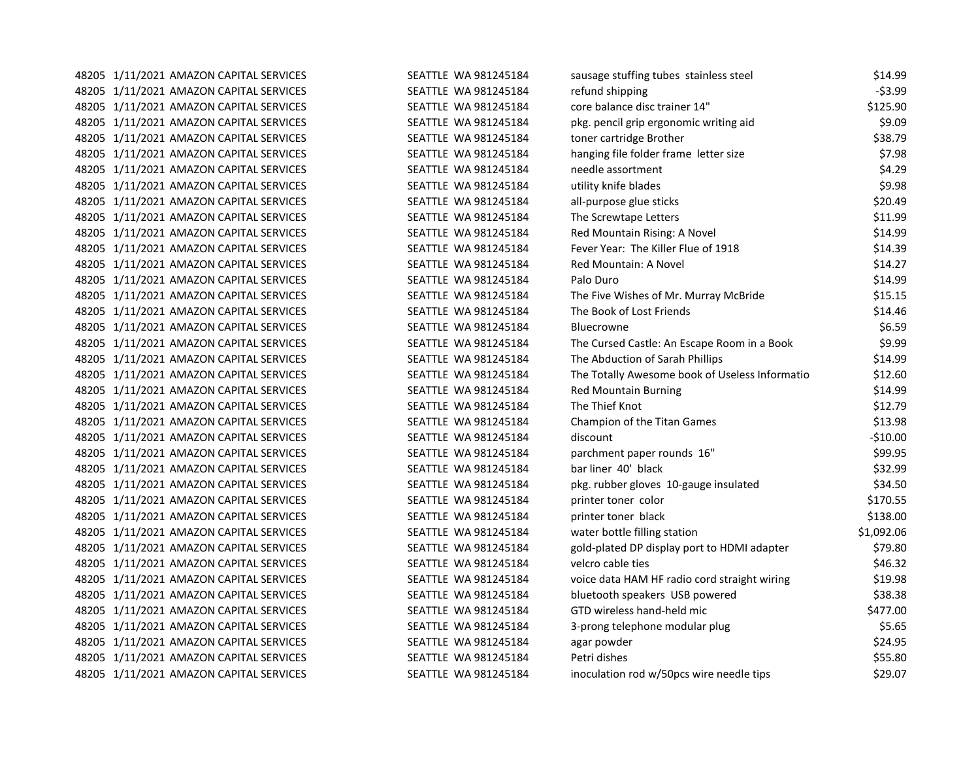| 48205 1/11/2021 AMAZON CAPITAL SERVICES | SEATTLE WA 981245184        | sausage stuffing tubes stainless steel         | \$14.99    |
|-----------------------------------------|-----------------------------|------------------------------------------------|------------|
| 48205 1/11/2021 AMAZON CAPITAL SERVICES | SEATTLE WA 981245184        | refund shipping                                | $-53.99$   |
| 48205 1/11/2021 AMAZON CAPITAL SERVICES | SEATTLE WA 981245184        | core balance disc trainer 14"                  | \$125.90   |
| 48205 1/11/2021 AMAZON CAPITAL SERVICES | SEATTLE WA 981245184        | pkg. pencil grip ergonomic writing aid         | \$9.09     |
| 48205 1/11/2021 AMAZON CAPITAL SERVICES | SEATTLE WA 981245184        | toner cartridge Brother                        | \$38.79    |
| 48205 1/11/2021 AMAZON CAPITAL SERVICES | SEATTLE WA 981245184        | hanging file folder frame letter size          | \$7.98     |
| 48205 1/11/2021 AMAZON CAPITAL SERVICES | SEATTLE WA 981245184        | needle assortment                              | \$4.29     |
| 48205 1/11/2021 AMAZON CAPITAL SERVICES | SEATTLE WA 981245184        | utility knife blades                           | \$9.98     |
| 48205 1/11/2021 AMAZON CAPITAL SERVICES | SEATTLE WA 981245184        | all-purpose glue sticks                        | \$20.49    |
| 48205 1/11/2021 AMAZON CAPITAL SERVICES | SEATTLE WA 981245184        | The Screwtape Letters                          | \$11.99    |
| 48205 1/11/2021 AMAZON CAPITAL SERVICES | SEATTLE WA 981245184        | Red Mountain Rising: A Novel                   | \$14.99    |
| 48205 1/11/2021 AMAZON CAPITAL SERVICES | SEATTLE WA 981245184        | Fever Year: The Killer Flue of 1918            | \$14.39    |
| 48205 1/11/2021 AMAZON CAPITAL SERVICES | SEATTLE WA 981245184        | <b>Red Mountain: A Novel</b>                   | \$14.27    |
| 48205 1/11/2021 AMAZON CAPITAL SERVICES | SEATTLE WA 981245184        | Palo Duro                                      | \$14.99    |
| 48205 1/11/2021 AMAZON CAPITAL SERVICES | SEATTLE WA 981245184        | The Five Wishes of Mr. Murray McBride          | \$15.15    |
| 48205 1/11/2021 AMAZON CAPITAL SERVICES | SEATTLE WA 981245184        | The Book of Lost Friends                       | \$14.46    |
| 48205 1/11/2021 AMAZON CAPITAL SERVICES | SEATTLE WA 981245184        | <b>Bluecrowne</b>                              | \$6.59     |
| 48205 1/11/2021 AMAZON CAPITAL SERVICES | SEATTLE WA 981245184        | The Cursed Castle: An Escape Room in a Book    | \$9.99     |
| 48205 1/11/2021 AMAZON CAPITAL SERVICES | SEATTLE WA 981245184        | The Abduction of Sarah Phillips                | \$14.99    |
| 48205 1/11/2021 AMAZON CAPITAL SERVICES | SEATTLE WA 981245184        | The Totally Awesome book of Useless Informatio | \$12.60    |
| 48205 1/11/2021 AMAZON CAPITAL SERVICES | SEATTLE WA 981245184        | <b>Red Mountain Burning</b>                    | \$14.99    |
| 48205 1/11/2021 AMAZON CAPITAL SERVICES | SEATTLE WA 981245184        | The Thief Knot                                 | \$12.79    |
| 48205 1/11/2021 AMAZON CAPITAL SERVICES | SEATTLE WA 981245184        | Champion of the Titan Games                    | \$13.98    |
| 48205 1/11/2021 AMAZON CAPITAL SERVICES | SEATTLE WA 981245184        | discount                                       | $-$10.00$  |
| 48205 1/11/2021 AMAZON CAPITAL SERVICES | SEATTLE WA 981245184        | parchment paper rounds 16"                     | \$99.95    |
| 48205 1/11/2021 AMAZON CAPITAL SERVICES | SEATTLE WA 981245184        | bar liner 40' black                            | \$32.99    |
| 48205 1/11/2021 AMAZON CAPITAL SERVICES | SEATTLE WA 981245184        | pkg. rubber gloves 10-gauge insulated          | \$34.50    |
| 48205 1/11/2021 AMAZON CAPITAL SERVICES | SEATTLE WA 981245184        | printer toner color                            | \$170.55   |
| 48205 1/11/2021 AMAZON CAPITAL SERVICES | SEATTLE WA 981245184        | printer toner black                            | \$138.00   |
| 48205 1/11/2021 AMAZON CAPITAL SERVICES | SEATTLE WA 981245184        | water bottle filling station                   | \$1,092.06 |
| 48205 1/11/2021 AMAZON CAPITAL SERVICES | SEATTLE WA 981245184        | gold-plated DP display port to HDMI adapter    | \$79.80    |
| 48205 1/11/2021 AMAZON CAPITAL SERVICES | SEATTLE WA 981245184        | velcro cable ties                              | \$46.32    |
| 48205 1/11/2021 AMAZON CAPITAL SERVICES | SEATTLE WA 981245184        | voice data HAM HF radio cord straight wiring   | \$19.98    |
| 48205 1/11/2021 AMAZON CAPITAL SERVICES | SEATTLE WA 981245184        | bluetooth speakers USB powered                 | \$38.38    |
| 48205 1/11/2021 AMAZON CAPITAL SERVICES | SEATTLE WA 981245184        | GTD wireless hand-held mic                     | \$477.00   |
| 48205 1/11/2021 AMAZON CAPITAL SERVICES | SEATTLE WA 981245184        | 3-prong telephone modular plug                 | \$5.65     |
| 48205 1/11/2021 AMAZON CAPITAL SERVICES | SEATTLE WA 981245184        | agar powder                                    | \$24.95    |
| 48205 1/11/2021 AMAZON CAPITAL SERVICES | SEATTLE WA 981245184        | Petri dishes                                   | \$55.80    |
| 48205 1/11/2021 AMAZON CAPITAL SERVICES | <b>SEATTLE WA 981245184</b> | inoculation rod w/50pcs wire needle tips       | \$29.07    |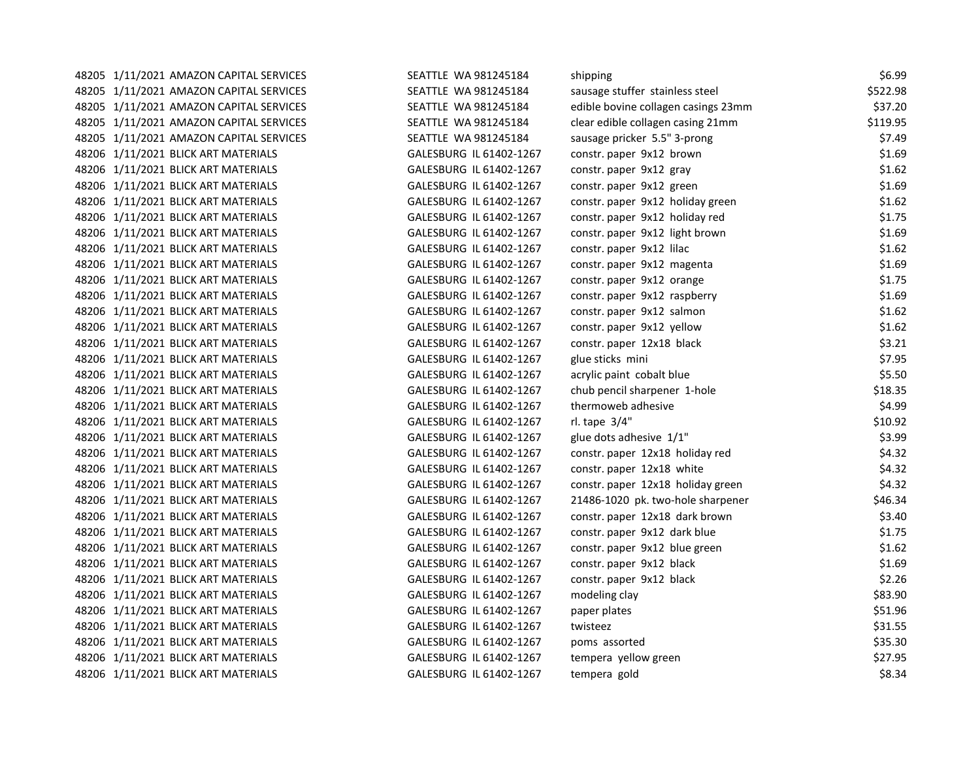| 48205 1/11/2021 AMAZON CAPITAL SERVICES | SEATTLE WA 981245184    | shipping                            | \$6.99   |
|-----------------------------------------|-------------------------|-------------------------------------|----------|
| 48205 1/11/2021 AMAZON CAPITAL SERVICES | SEATTLE WA 981245184    | sausage stuffer stainless steel     | \$522.98 |
| 48205 1/11/2021 AMAZON CAPITAL SERVICES | SEATTLE WA 981245184    | edible bovine collagen casings 23mm | \$37.20  |
| 48205 1/11/2021 AMAZON CAPITAL SERVICES | SEATTLE WA 981245184    | clear edible collagen casing 21mm   | \$119.95 |
| 48205 1/11/2021 AMAZON CAPITAL SERVICES | SEATTLE WA 981245184    | sausage pricker 5.5" 3-prong        | \$7.49   |
| 48206 1/11/2021 BLICK ART MATERIALS     | GALESBURG IL 61402-1267 | constr. paper 9x12 brown            | \$1.69   |
| 48206 1/11/2021 BLICK ART MATERIALS     | GALESBURG IL 61402-1267 | constr. paper 9x12 gray             | \$1.62   |
| 48206 1/11/2021 BLICK ART MATERIALS     | GALESBURG IL 61402-1267 | constr. paper 9x12 green            | \$1.69   |
| 48206 1/11/2021 BLICK ART MATERIALS     | GALESBURG IL 61402-1267 | constr. paper 9x12 holiday green    | \$1.62   |
| 48206 1/11/2021 BLICK ART MATERIALS     | GALESBURG IL 61402-1267 | constr. paper 9x12 holiday red      | \$1.75   |
| 48206 1/11/2021 BLICK ART MATERIALS     | GALESBURG IL 61402-1267 | constr. paper 9x12 light brown      | \$1.69   |
| 48206 1/11/2021 BLICK ART MATERIALS     | GALESBURG IL 61402-1267 | constr. paper 9x12 lilac            | \$1.62   |
| 48206 1/11/2021 BLICK ART MATERIALS     | GALESBURG IL 61402-1267 | constr. paper 9x12 magenta          | \$1.69   |
| 48206 1/11/2021 BLICK ART MATERIALS     | GALESBURG IL 61402-1267 | constr. paper 9x12 orange           | \$1.75   |
| 48206 1/11/2021 BLICK ART MATERIALS     | GALESBURG IL 61402-1267 | constr. paper 9x12 raspberry        | \$1.69   |
| 48206 1/11/2021 BLICK ART MATERIALS     | GALESBURG IL 61402-1267 | constr. paper 9x12 salmon           | \$1.62   |
| 48206 1/11/2021 BLICK ART MATERIALS     | GALESBURG IL 61402-1267 | constr. paper 9x12 yellow           | \$1.62   |
| 48206 1/11/2021 BLICK ART MATERIALS     | GALESBURG IL 61402-1267 | constr. paper 12x18 black           | \$3.21   |
| 48206 1/11/2021 BLICK ART MATERIALS     | GALESBURG IL 61402-1267 | glue sticks mini                    | \$7.95   |
| 48206 1/11/2021 BLICK ART MATERIALS     | GALESBURG IL 61402-1267 | acrylic paint cobalt blue           | \$5.50   |
| 48206 1/11/2021 BLICK ART MATERIALS     | GALESBURG IL 61402-1267 | chub pencil sharpener 1-hole        | \$18.35  |
| 48206 1/11/2021 BLICK ART MATERIALS     | GALESBURG IL 61402-1267 | thermoweb adhesive                  | \$4.99   |
| 48206 1/11/2021 BLICK ART MATERIALS     | GALESBURG IL 61402-1267 | rl. tape 3/4"                       | \$10.92  |
| 48206 1/11/2021 BLICK ART MATERIALS     | GALESBURG IL 61402-1267 | glue dots adhesive 1/1"             | \$3.99   |
| 48206 1/11/2021 BLICK ART MATERIALS     | GALESBURG IL 61402-1267 | constr. paper 12x18 holiday red     | \$4.32   |
| 48206 1/11/2021 BLICK ART MATERIALS     | GALESBURG IL 61402-1267 | constr. paper 12x18 white           | \$4.32   |
| 48206 1/11/2021 BLICK ART MATERIALS     | GALESBURG IL 61402-1267 | constr. paper 12x18 holiday green   | \$4.32   |
| 48206 1/11/2021 BLICK ART MATERIALS     | GALESBURG IL 61402-1267 | 21486-1020 pk. two-hole sharpener   | \$46.34  |
| 48206 1/11/2021 BLICK ART MATERIALS     | GALESBURG IL 61402-1267 | constr. paper 12x18 dark brown      | \$3.40   |
| 48206 1/11/2021 BLICK ART MATERIALS     | GALESBURG IL 61402-1267 | constr. paper 9x12 dark blue        | \$1.75   |
| 48206 1/11/2021 BLICK ART MATERIALS     | GALESBURG IL 61402-1267 | constr. paper 9x12 blue green       | \$1.62   |
| 48206 1/11/2021 BLICK ART MATERIALS     | GALESBURG IL 61402-1267 | constr. paper 9x12 black            | \$1.69   |
| 48206 1/11/2021 BLICK ART MATERIALS     | GALESBURG IL 61402-1267 | constr. paper 9x12 black            | \$2.26   |
| 48206 1/11/2021 BLICK ART MATERIALS     | GALESBURG IL 61402-1267 | modeling clay                       | \$83.90  |
| 48206 1/11/2021 BLICK ART MATERIALS     | GALESBURG IL 61402-1267 | paper plates                        | \$51.96  |
| 48206 1/11/2021 BLICK ART MATERIALS     | GALESBURG IL 61402-1267 | twisteez                            | \$31.55  |
| 48206 1/11/2021 BLICK ART MATERIALS     | GALESBURG IL 61402-1267 | poms assorted                       | \$35.30  |
| 48206 1/11/2021 BLICK ART MATERIALS     | GALESBURG IL 61402-1267 | tempera yellow green                | \$27.95  |
| 48206 1/11/2021 BLICK ART MATERIALS     | GALESBURG IL 61402-1267 | tempera gold                        | \$8.34   |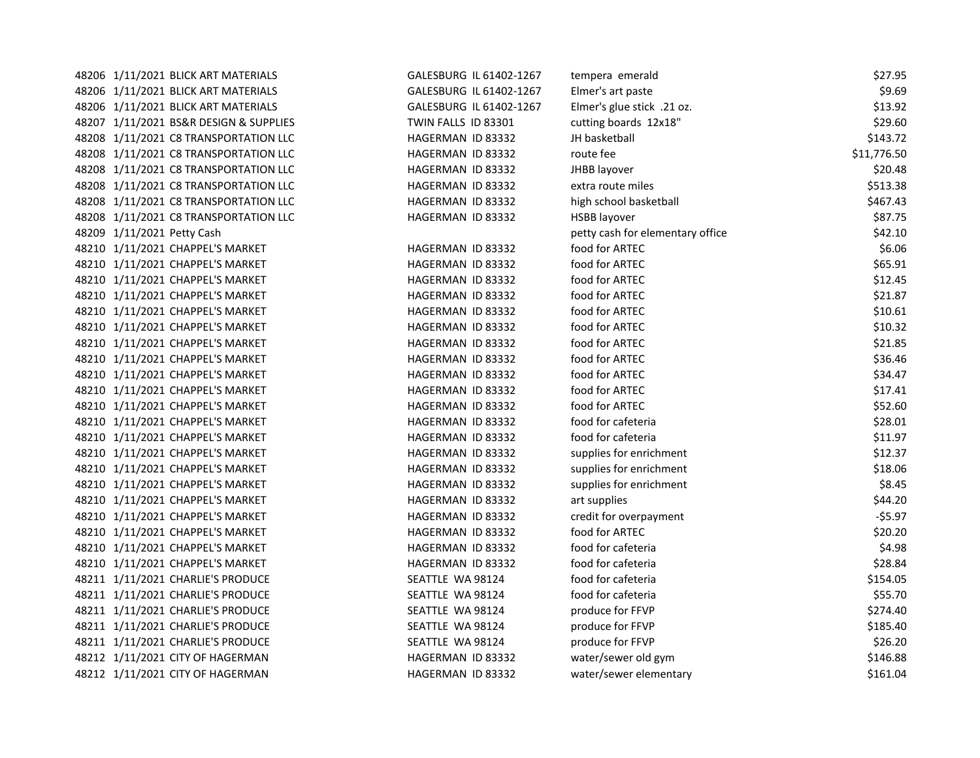| 48206 1/11/2021 BLICK ART MATERIALS    | GALESBURG IL 61402-1267 | tempera emerald                  | \$27.95     |
|----------------------------------------|-------------------------|----------------------------------|-------------|
| 48206 1/11/2021 BLICK ART MATERIALS    | GALESBURG IL 61402-1267 | Elmer's art paste                | \$9.69      |
| 48206 1/11/2021 BLICK ART MATERIALS    | GALESBURG IL 61402-1267 | Elmer's glue stick .21 oz.       | \$13.92     |
| 48207 1/11/2021 BS&R DESIGN & SUPPLIES | TWIN FALLS ID 83301     | cutting boards 12x18"            | \$29.60     |
| 48208 1/11/2021 C8 TRANSPORTATION LLC  | HAGERMAN ID 83332       | JH basketball                    | \$143.72    |
| 48208 1/11/2021 C8 TRANSPORTATION LLC  | HAGERMAN ID 83332       | route fee                        | \$11,776.50 |
| 48208 1/11/2021 C8 TRANSPORTATION LLC  | HAGERMAN ID 83332       | JHBB layover                     | \$20.48     |
| 48208 1/11/2021 C8 TRANSPORTATION LLC  | HAGERMAN ID 83332       | extra route miles                | \$513.38    |
| 48208 1/11/2021 C8 TRANSPORTATION LLC  | HAGERMAN ID 83332       | high school basketball           | \$467.43    |
| 48208 1/11/2021 C8 TRANSPORTATION LLC  | HAGERMAN ID 83332       | <b>HSBB layover</b>              | \$87.75     |
| 48209 1/11/2021 Petty Cash             |                         | petty cash for elementary office | \$42.10     |
| 48210 1/11/2021 CHAPPEL'S MARKET       | HAGERMAN ID 83332       | food for ARTEC                   | \$6.06      |
| 48210 1/11/2021 CHAPPEL'S MARKET       | HAGERMAN ID 83332       | food for ARTEC                   | \$65.91     |
| 48210 1/11/2021 CHAPPEL'S MARKET       | HAGERMAN ID 83332       | food for ARTEC                   | \$12.45     |
| 48210 1/11/2021 CHAPPEL'S MARKET       | HAGERMAN ID 83332       | food for ARTEC                   | \$21.87     |
| 48210 1/11/2021 CHAPPEL'S MARKET       | HAGERMAN ID 83332       | food for ARTEC                   | \$10.61     |
| 48210 1/11/2021 CHAPPEL'S MARKET       | HAGERMAN ID 83332       | food for ARTEC                   | \$10.32     |
| 48210 1/11/2021 CHAPPEL'S MARKET       | HAGERMAN ID 83332       | food for ARTEC                   | \$21.85     |
| 48210 1/11/2021 CHAPPEL'S MARKET       | HAGERMAN ID 83332       | food for ARTEC                   | \$36.46     |
| 48210 1/11/2021 CHAPPEL'S MARKET       | HAGERMAN ID 83332       | food for ARTEC                   | \$34.47     |
| 48210 1/11/2021 CHAPPEL'S MARKET       | HAGERMAN ID 83332       | food for ARTEC                   | \$17.41     |
| 48210 1/11/2021 CHAPPEL'S MARKET       | HAGERMAN ID 83332       | food for ARTEC                   | \$52.60     |
| 48210 1/11/2021 CHAPPEL'S MARKET       | HAGERMAN ID 83332       | food for cafeteria               | \$28.01     |
| 48210 1/11/2021 CHAPPEL'S MARKET       | HAGERMAN ID 83332       | food for cafeteria               | \$11.97     |
| 48210 1/11/2021 CHAPPEL'S MARKET       | HAGERMAN ID 83332       | supplies for enrichment          | \$12.37     |
| 48210 1/11/2021 CHAPPEL'S MARKET       | HAGERMAN ID 83332       | supplies for enrichment          | \$18.06     |
| 48210 1/11/2021 CHAPPEL'S MARKET       | HAGERMAN ID 83332       | supplies for enrichment          | \$8.45      |
| 48210 1/11/2021 CHAPPEL'S MARKET       | HAGERMAN ID 83332       | art supplies                     | \$44.20     |
| 48210 1/11/2021 CHAPPEL'S MARKET       | HAGERMAN ID 83332       | credit for overpayment           | $-55.97$    |
| 48210 1/11/2021 CHAPPEL'S MARKET       | HAGERMAN ID 83332       | food for ARTEC                   | \$20.20     |
| 48210 1/11/2021 CHAPPEL'S MARKET       | HAGERMAN ID 83332       | food for cafeteria               | \$4.98      |
| 48210 1/11/2021 CHAPPEL'S MARKET       | HAGERMAN ID 83332       | food for cafeteria               | \$28.84     |
| 48211 1/11/2021 CHARLIE'S PRODUCE      | SEATTLE WA 98124        | food for cafeteria               | \$154.05    |
| 48211 1/11/2021 CHARLIE'S PRODUCE      | SEATTLE WA 98124        | food for cafeteria               | \$55.70     |
| 48211 1/11/2021 CHARLIE'S PRODUCE      | SEATTLE WA 98124        | produce for FFVP                 | \$274.40    |
| 48211 1/11/2021 CHARLIE'S PRODUCE      | SEATTLE WA 98124        | produce for FFVP                 | \$185.40    |
| 48211 1/11/2021 CHARLIE'S PRODUCE      | SEATTLE WA 98124        | produce for FFVP                 | \$26.20     |
| 48212 1/11/2021 CITY OF HAGERMAN       | HAGERMAN ID 83332       | water/sewer old gym              | \$146.88    |
| 48212 1/11/2021 CITY OF HAGERMAN       | HAGERMAN ID 83332       | water/sewer elementary           | \$161.04    |
|                                        |                         |                                  |             |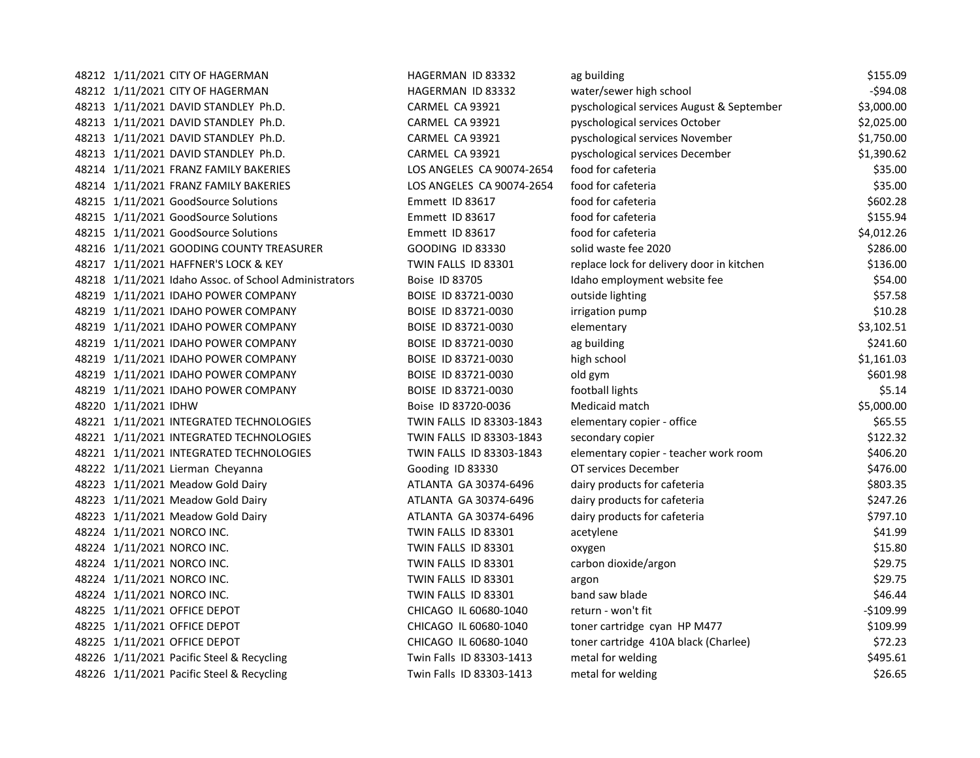| 48212 1/11/2021 CITY OF HAGERMAN                      | HAGERMAN ID 83332         | ag building                               | \$155.09   |
|-------------------------------------------------------|---------------------------|-------------------------------------------|------------|
| 48212 1/11/2021 CITY OF HAGERMAN                      | HAGERMAN ID 83332         | water/sewer high school                   | $-594.08$  |
| 48213 1/11/2021 DAVID STANDLEY Ph.D.                  | CARMEL CA 93921           | pyschological services August & September | \$3,000.00 |
| 48213 1/11/2021 DAVID STANDLEY Ph.D.                  | CARMEL CA 93921           | pyschological services October            | \$2,025.00 |
| 48213 1/11/2021 DAVID STANDLEY Ph.D.                  | CARMEL CA 93921           | pyschological services November           | \$1,750.00 |
| 48213 1/11/2021 DAVID STANDLEY Ph.D.                  | CARMEL CA 93921           | pyschological services December           | \$1,390.62 |
| 48214 1/11/2021 FRANZ FAMILY BAKERIES                 | LOS ANGELES CA 90074-2654 | food for cafeteria                        | \$35.00    |
| 48214 1/11/2021 FRANZ FAMILY BAKERIES                 | LOS ANGELES CA 90074-2654 | food for cafeteria                        | \$35.00    |
| 48215 1/11/2021 GoodSource Solutions                  | Emmett ID 83617           | food for cafeteria                        | \$602.28   |
| 48215 1/11/2021 GoodSource Solutions                  | Emmett ID 83617           | food for cafeteria                        | \$155.94   |
| 48215 1/11/2021 GoodSource Solutions                  | Emmett ID 83617           | food for cafeteria                        | \$4,012.26 |
| 48216 1/11/2021 GOODING COUNTY TREASURER              | <b>GOODING ID 83330</b>   | solid waste fee 2020                      | \$286.00   |
| 48217 1/11/2021 HAFFNER'S LOCK & KEY                  | TWIN FALLS ID 83301       | replace lock for delivery door in kitchen | \$136.00   |
| 48218 1/11/2021 Idaho Assoc. of School Administrators | Boise ID 83705            | Idaho employment website fee              | \$54.00    |
| 48219 1/11/2021 IDAHO POWER COMPANY                   | BOISE ID 83721-0030       | outside lighting                          | \$57.58    |
| 48219 1/11/2021 IDAHO POWER COMPANY                   | BOISE ID 83721-0030       | irrigation pump                           | \$10.28    |
| 48219 1/11/2021 IDAHO POWER COMPANY                   | BOISE ID 83721-0030       | elementary                                | \$3,102.51 |
| 48219 1/11/2021 IDAHO POWER COMPANY                   | BOISE ID 83721-0030       | ag building                               | \$241.60   |
| 48219 1/11/2021 IDAHO POWER COMPANY                   | BOISE ID 83721-0030       | high school                               | \$1,161.03 |
| 48219 1/11/2021 IDAHO POWER COMPANY                   | BOISE ID 83721-0030       | old gym                                   | \$601.98   |
| 48219 1/11/2021 IDAHO POWER COMPANY                   | BOISE ID 83721-0030       | football lights                           | \$5.14     |
| 48220 1/11/2021 IDHW                                  | Boise ID 83720-0036       | Medicaid match                            | \$5,000.00 |
| 48221 1/11/2021 INTEGRATED TECHNOLOGIES               | TWIN FALLS ID 83303-1843  | elementary copier - office                | \$65.55    |
| 48221 1/11/2021 INTEGRATED TECHNOLOGIES               | TWIN FALLS ID 83303-1843  | secondary copier                          | \$122.32   |
| 48221 1/11/2021 INTEGRATED TECHNOLOGIES               | TWIN FALLS ID 83303-1843  | elementary copier - teacher work room     | \$406.20   |
| 48222 1/11/2021 Lierman Cheyanna                      | Gooding ID 83330          | OT services December                      | \$476.00   |
| 48223 1/11/2021 Meadow Gold Dairy                     | ATLANTA GA 30374-6496     | dairy products for cafeteria              | \$803.35   |
| 48223 1/11/2021 Meadow Gold Dairy                     | ATLANTA GA 30374-6496     | dairy products for cafeteria              | \$247.26   |
| 48223 1/11/2021 Meadow Gold Dairy                     | ATLANTA GA 30374-6496     | dairy products for cafeteria              | \$797.10   |
| 48224 1/11/2021 NORCO INC.                            | TWIN FALLS ID 83301       | acetylene                                 | \$41.99    |
| 48224 1/11/2021 NORCO INC.                            | TWIN FALLS ID 83301       | oxygen                                    | \$15.80    |
| 48224 1/11/2021 NORCO INC.                            | TWIN FALLS ID 83301       | carbon dioxide/argon                      | \$29.75    |
| 48224 1/11/2021 NORCO INC.                            | TWIN FALLS ID 83301       | argon                                     | \$29.75    |
| 48224 1/11/2021 NORCO INC.                            | TWIN FALLS ID 83301       | band saw blade                            | \$46.44    |
| 48225 1/11/2021 OFFICE DEPOT                          | CHICAGO IL 60680-1040     | return - won't fit                        | $-$109.99$ |
| 48225 1/11/2021 OFFICE DEPOT                          | CHICAGO IL 60680-1040     | toner cartridge cyan HP M477              | \$109.99   |
| 48225 1/11/2021 OFFICE DEPOT                          | CHICAGO IL 60680-1040     | toner cartridge 410A black (Charlee)      | \$72.23    |
| 48226 1/11/2021 Pacific Steel & Recycling             | Twin Falls ID 83303-1413  | metal for welding                         | \$495.61   |
| 48226 1/11/2021 Pacific Steel & Recycling             | Twin Falls ID 83303-1413  | metal for welding                         | \$26.65    |
|                                                       |                           |                                           |            |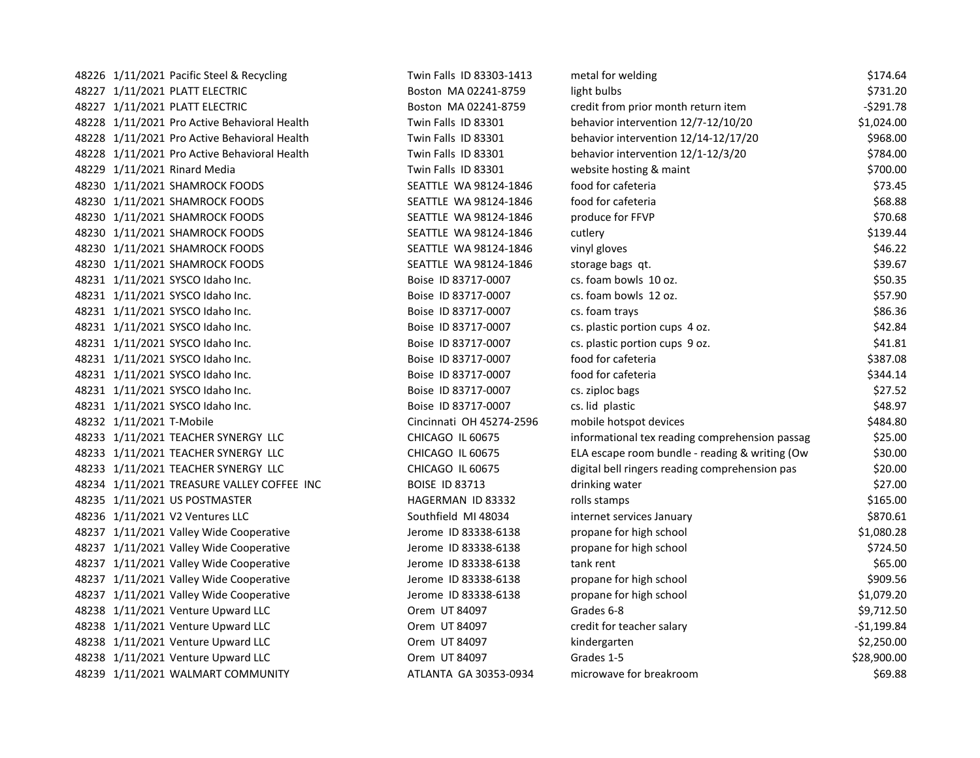| 48226 1/11/2021 Pacific Steel & Recycling    | Twin Falls ID 83303-1413 | metal for welding                              | \$174.64     |
|----------------------------------------------|--------------------------|------------------------------------------------|--------------|
| 48227 1/11/2021 PLATT ELECTRIC               | Boston MA 02241-8759     | light bulbs                                    | \$731.20     |
| 48227 1/11/2021 PLATT ELECTRIC               | Boston MA 02241-8759     | credit from prior month return item            | $-5291.78$   |
| 48228 1/11/2021 Pro Active Behavioral Health | Twin Falls ID 83301      | behavior intervention 12/7-12/10/20            | \$1,024.00   |
| 48228 1/11/2021 Pro Active Behavioral Health | Twin Falls ID 83301      | behavior intervention 12/14-12/17/20           | \$968.00     |
| 48228 1/11/2021 Pro Active Behavioral Health | Twin Falls ID 83301      | behavior intervention 12/1-12/3/20             | \$784.00     |
| 48229 1/11/2021 Rinard Media                 | Twin Falls ID 83301      | website hosting & maint                        | \$700.00     |
| 48230 1/11/2021 SHAMROCK FOODS               | SEATTLE WA 98124-1846    | food for cafeteria                             | \$73.45      |
| 48230 1/11/2021 SHAMROCK FOODS               | SEATTLE WA 98124-1846    | food for cafeteria                             | \$68.88      |
| 48230 1/11/2021 SHAMROCK FOODS               | SEATTLE WA 98124-1846    | produce for FFVP                               | \$70.68      |
| 48230 1/11/2021 SHAMROCK FOODS               | SEATTLE WA 98124-1846    | cutlery                                        | \$139.44     |
| 48230 1/11/2021 SHAMROCK FOODS               | SEATTLE WA 98124-1846    | vinyl gloves                                   | \$46.22      |
| 48230 1/11/2021 SHAMROCK FOODS               | SEATTLE WA 98124-1846    | storage bags qt.                               | \$39.67      |
| 48231 1/11/2021 SYSCO Idaho Inc.             | Boise ID 83717-0007      | cs. foam bowls 10 oz.                          | \$50.35      |
| 48231 1/11/2021 SYSCO Idaho Inc.             | Boise ID 83717-0007      | cs. foam bowls 12 oz.                          | \$57.90      |
| 48231 1/11/2021 SYSCO Idaho Inc.             | Boise ID 83717-0007      | cs. foam trays                                 | \$86.36      |
| 48231 1/11/2021 SYSCO Idaho Inc.             | Boise ID 83717-0007      | cs. plastic portion cups 4 oz.                 | \$42.84      |
| 48231 1/11/2021 SYSCO Idaho Inc.             | Boise ID 83717-0007      | cs. plastic portion cups 9 oz.                 | \$41.81      |
| 48231 1/11/2021 SYSCO Idaho Inc.             | Boise ID 83717-0007      | food for cafeteria                             | \$387.08     |
| 48231 1/11/2021 SYSCO Idaho Inc.             | Boise ID 83717-0007      | food for cafeteria                             | \$344.14     |
| 48231 1/11/2021 SYSCO Idaho Inc.             | Boise ID 83717-0007      | cs. ziploc bags                                | \$27.52      |
| 48231 1/11/2021 SYSCO Idaho Inc.             | Boise ID 83717-0007      | cs. lid plastic                                | \$48.97      |
| 48232 1/11/2021 T-Mobile                     | Cincinnati OH 45274-2596 | mobile hotspot devices                         | \$484.80     |
| 48233 1/11/2021 TEACHER SYNERGY LLC          | CHICAGO IL 60675         | informational tex reading comprehension passag | \$25.00      |
| 48233 1/11/2021 TEACHER SYNERGY LLC          | CHICAGO IL 60675         | ELA escape room bundle - reading & writing (Ow | \$30.00      |
| 48233 1/11/2021 TEACHER SYNERGY LLC          | CHICAGO IL 60675         | digital bell ringers reading comprehension pas | \$20.00      |
| 48234 1/11/2021 TREASURE VALLEY COFFEE INC   | <b>BOISE ID 83713</b>    | drinking water                                 | \$27.00      |
| 48235 1/11/2021 US POSTMASTER                | HAGERMAN ID 83332        | rolls stamps                                   | \$165.00     |
| 48236 1/11/2021 V2 Ventures LLC              | Southfield MI 48034      | internet services January                      | \$870.61     |
| 48237 1/11/2021 Valley Wide Cooperative      | Jerome ID 83338-6138     | propane for high school                        | \$1,080.28   |
| 48237 1/11/2021 Valley Wide Cooperative      | Jerome ID 83338-6138     | propane for high school                        | \$724.50     |
| 48237 1/11/2021 Valley Wide Cooperative      | Jerome ID 83338-6138     | tank rent                                      | \$65.00      |
| 48237 1/11/2021 Valley Wide Cooperative      | Jerome ID 83338-6138     | propane for high school                        | \$909.56     |
| 48237 1/11/2021 Valley Wide Cooperative      | Jerome ID 83338-6138     | propane for high school                        | \$1,079.20   |
| 48238 1/11/2021 Venture Upward LLC           | Orem UT 84097            | Grades 6-8                                     | \$9,712.50   |
| 48238 1/11/2021 Venture Upward LLC           | Orem UT 84097            | credit for teacher salary                      | $-51,199.84$ |
| 48238 1/11/2021 Venture Upward LLC           | Orem UT 84097            | kindergarten                                   | \$2,250.00   |
| 48238 1/11/2021 Venture Upward LLC           | Orem UT 84097            | Grades 1-5                                     | \$28,900.00  |
| 48239 1/11/2021 WALMART COMMUNITY            | ATLANTA GA 30353-0934    | microwave for breakroom                        | \$69.88      |
|                                              |                          |                                                |              |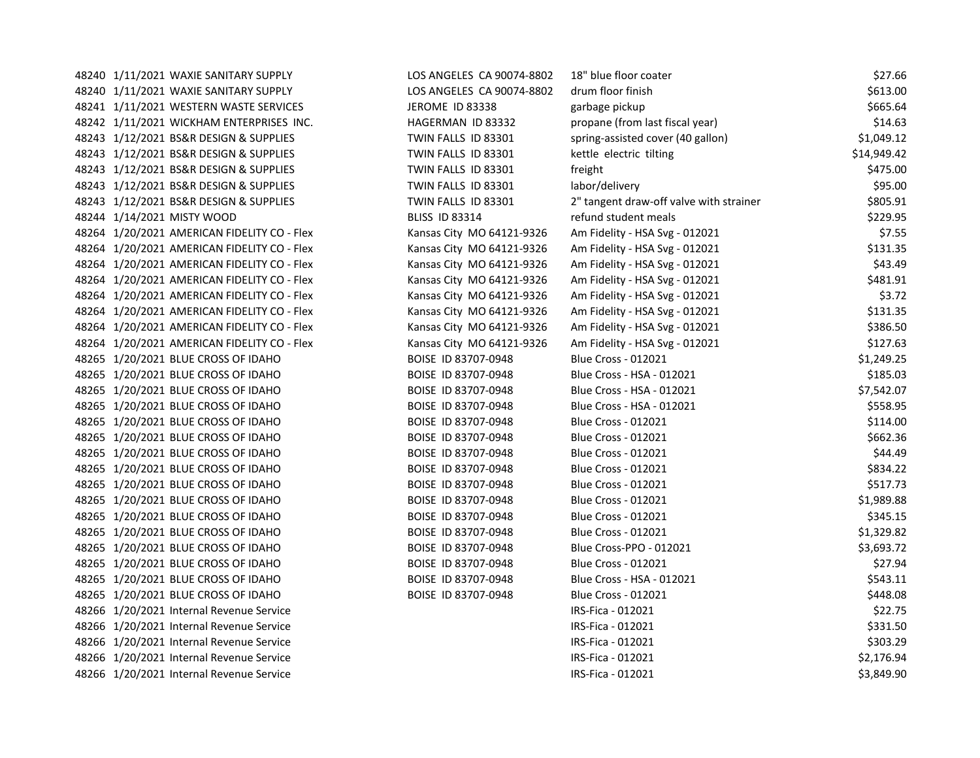48240 1/11/2021 WAXIE SANITARY SUPPLY LOS ANGELES CA 90074-8802 18" blue floor coater \$27.66 48240 1/11/2021 WAXIE SANITARY SUPPLY LOS ANGELES CA 90074-8802 drum floor finish \$613.00 48241 1/11/2021 WESTERN WASTE SERVICES THE SERVICES SERVICES SERVICES ASSESSED A SERVICES SERVICES A SERVICES S 48242 1/11/2021 WICKHAM ENTERPRISES INC. HAGERMAN ID 83332 propane (from last fiscal year) \$14.63 48243 1/12/2021 BS&R DESIGN & SUPPLIES TWIN FALLS ID 83301 spring-assisted cover (40 gallon) \$1,049.12 48243 1/12/2021 BS&R DESIGN & SUPPLIES TWIN FALLS ID 83301 kettle electric tilting \$14,949.42 48243 1/12/2021 BS&R DESIGN & SUPPLIES TWIN FALLS ID 83301 freight \$475.00 48243 1/12/2021 BS&R DESIGN & SUPPLIES TWIN FALLS ID 83301 labor/delivery and the settlement of the state of the state of the state of the state of the state of the state of the state of the state of the state of the state 48243 1/12/2021 BS&R DESIGN & SUPPLIES TWIN FALLS ID 83301 2" tangent draw-off valve with strainer \$805.91 48244 1/14/2021 MISTY WOOD **BLISS ID 83314** refund student meals \$229.95 48264 1/20/2021 AMERICAN FIDELITY CO - Flex Kansas City MO 64121-9326 Am Fidelity - HSA Svg - 012021 \$7.55 48264 1/20/2021 AMERICAN FIDELITY CO - Flex Kansas City MO 64121-9326 Am Fidelity - HSA Svg - 012021 \$131.35 48264 1/20/2021 AMERICAN FIDELITY CO - Flex Kansas City MO 64121-9326 Am Fidelity - HSA Svg - 012021 \$43.49 48264 1/20/2021 AMERICAN FIDELITY CO - Flex Kansas City MO 64121-9326 Am Fidelity - HSA Svg - 012021 \$481.91 48264 1/20/2021 AMERICAN FIDELITY CO - Flex Kansas City MO 64121-9326 Am Fidelity - HSA Svg - 012021 \$3.72 48264 1/20/2021 AMERICAN FIDELITY CO - Flex Kansas City MO 64121-9326 Am Fidelity - HSA Svg - 012021 \$131.35 48264 1/20/2021 AMERICAN FIDELITY CO - Flex Kansas City MO 64121-9326 Am Fidelity - HSA Svg - 012021 \$386.50 48264 1/20/2021 AMERICAN FIDELITY CO - Flex Kansas City MO 64121-9326 Am Fidelity - HSA Svg - 012021 \$127.63 48265 1/20/2021 BLUE CROSS OF IDAHO BOISE ID 83707-0948 Blue Cross - 012021 51,249.25 48265 1/20/2021 BLUE CROSS OF IDAHO BOISE ID 83707-0948 Blue Cross - HSA - 012021 \$185.03 48265 1/20/2021 BLUE CROSS OF IDAHO BOISE ID 83707-0948 Blue Cross - HSA - 012021 \$7,542.07 48265 1/20/2021 BLUE CROSS OF IDAHO BOISE ID 83707-0948 Blue Cross - HSA - 012021 \$558.95 \$558.95 48265 1/20/2021 BLUE CROSS OF IDAHO BOISE ID 83707-0948 Blue Cross - 012021 5114.00 48265 1/20/2021 BLUE CROSS OF IDAHO BOISE ID 83707-0948 Blue Cross - 012021 5662.36 48265 1/20/2021 BLUE CROSS OF IDAHO BOISE ID 83707-0948 Blue Cross - 012021 344.49 48265 1/20/2021 BLUE CROSS OF IDAHO BOISE ID 83707-0948 Blue Cross - 012021 5834.22 48265 1/20/2021 BLUE CROSS OF IDAHO BOISE ID 83707-0948 Blue Cross - 012021 5517.73 48265 1/20/2021 BLUE CROSS OF IDAHO BOISE ID 83707-0948 Blue Cross - 012021 51,989.88 48265 1/20/2021 BLUE CROSS OF IDAHO BOISE ID 83707-0948 Blue Cross - 012021 5345.15 48265 1/20/2021 BLUE CROSS OF IDAHO BOISE ID 83707-0948 Blue Cross - 012021 51,329.82 48265 1/20/2021 BLUE CROSS OF IDAHO BOISE ID 83707-0948 Blue Cross-PPO - 012021 \$3,693.72 48265 1/20/2021 BLUE CROSS OF IDAHO BOISE ID 83707-0948 Blue Cross - 012021 527.94 48265 1/20/2021 BLUE CROSS OF IDAHO BOISE ID 83707-0948 Blue Cross - HSA - 012021 5543.11 48265 1/20/2021 BLUE CROSS OF IDAHO BOISE ID 83707-0948 Blue Cross - 012021 5448.08 48266 1/20/2021 Internal Revenue Service **Internal Revenue Service** Internal RS-Fica - 012021 **185-Fica - 012021** \$22.75 48266 1/20/2021 Internal Revenue Service IRS-Fica - 012021 \$331.50 48266 1/20/2021 Internal Revenue Service **Internal Revenue Service** Internal Revenue Service **Internal Revenue Service** S303.29 48266 1/20/2021 Internal Revenue Service **Internal Revenue Service** Internal Revenue Service **Internal Revenue Service** Internal Revenue Service Internal Revenue Service Internal Revenue Service Internal Revenue Service In 48266 1/20/2021 Internal Revenue Service IRS-Fica - 012021 \$3,849.90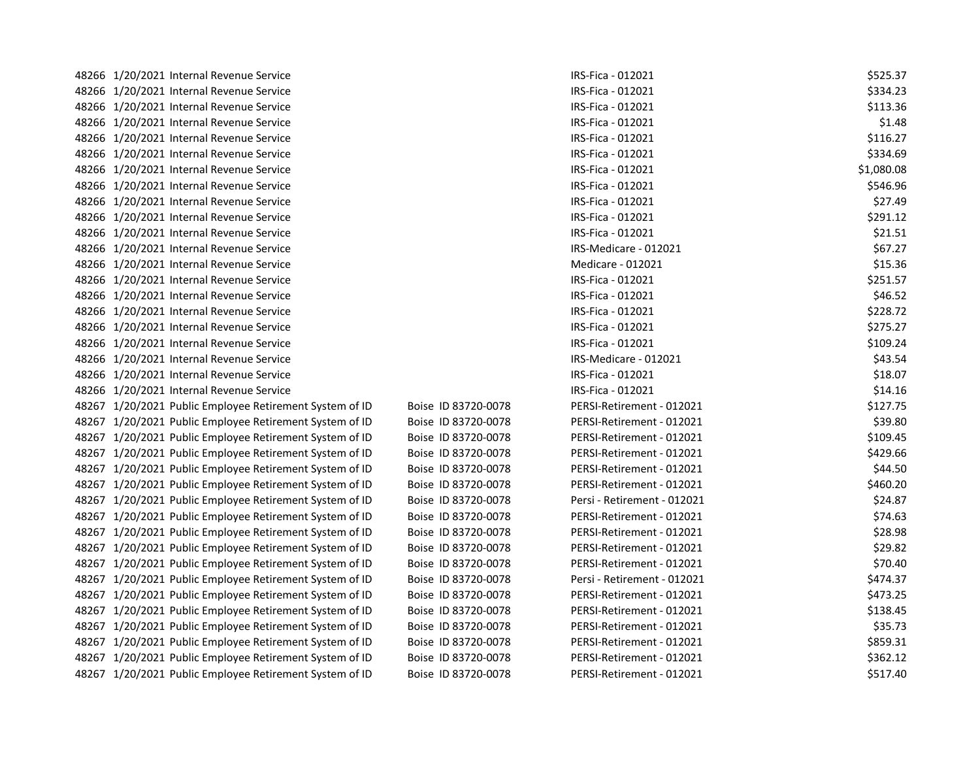| 48266 1/20/2021 Internal Revenue Service                |                     | IRS-Fica - 012021           | \$525.37   |
|---------------------------------------------------------|---------------------|-----------------------------|------------|
| 48266 1/20/2021 Internal Revenue Service                |                     | IRS-Fica - 012021           | \$334.23   |
| 48266 1/20/2021 Internal Revenue Service                |                     | IRS-Fica - 012021           | \$113.36   |
| 48266 1/20/2021 Internal Revenue Service                |                     | IRS-Fica - 012021           | \$1.48     |
| 48266 1/20/2021 Internal Revenue Service                |                     | IRS-Fica - 012021           | \$116.27   |
| 48266 1/20/2021 Internal Revenue Service                |                     | IRS-Fica - 012021           | \$334.69   |
| 48266 1/20/2021 Internal Revenue Service                |                     | IRS-Fica - 012021           | \$1,080.08 |
| 48266 1/20/2021 Internal Revenue Service                |                     | IRS-Fica - 012021           | \$546.96   |
| 48266 1/20/2021 Internal Revenue Service                |                     | IRS-Fica - 012021           | \$27.49    |
| 48266 1/20/2021 Internal Revenue Service                |                     | IRS-Fica - 012021           | \$291.12   |
| 48266 1/20/2021 Internal Revenue Service                |                     | IRS-Fica - 012021           | \$21.51    |
| 48266 1/20/2021 Internal Revenue Service                |                     | IRS-Medicare - 012021       | \$67.27    |
| 48266 1/20/2021 Internal Revenue Service                |                     | Medicare - 012021           | \$15.36    |
| 48266 1/20/2021 Internal Revenue Service                |                     | IRS-Fica - 012021           | \$251.57   |
| 48266 1/20/2021 Internal Revenue Service                |                     | IRS-Fica - 012021           | \$46.52    |
| 48266 1/20/2021 Internal Revenue Service                |                     | IRS-Fica - 012021           | \$228.72   |
| 48266 1/20/2021 Internal Revenue Service                |                     | IRS-Fica - 012021           | \$275.27   |
| 48266 1/20/2021 Internal Revenue Service                |                     | IRS-Fica - 012021           | \$109.24   |
| 48266 1/20/2021 Internal Revenue Service                |                     | IRS-Medicare - 012021       | \$43.54    |
| 48266 1/20/2021 Internal Revenue Service                |                     | IRS-Fica - 012021           | \$18.07    |
| 48266 1/20/2021 Internal Revenue Service                |                     | IRS-Fica - 012021           | \$14.16    |
| 48267 1/20/2021 Public Employee Retirement System of ID | Boise ID 83720-0078 | PERSI-Retirement - 012021   | \$127.75   |
| 48267 1/20/2021 Public Employee Retirement System of ID | Boise ID 83720-0078 | PERSI-Retirement - 012021   | \$39.80    |
| 48267 1/20/2021 Public Employee Retirement System of ID | Boise ID 83720-0078 | PERSI-Retirement - 012021   | \$109.45   |
| 48267 1/20/2021 Public Employee Retirement System of ID | Boise ID 83720-0078 | PERSI-Retirement - 012021   | \$429.66   |
| 48267 1/20/2021 Public Employee Retirement System of ID | Boise ID 83720-0078 | PERSI-Retirement - 012021   | \$44.50    |
| 48267 1/20/2021 Public Employee Retirement System of ID | Boise ID 83720-0078 | PERSI-Retirement - 012021   | \$460.20   |
| 48267 1/20/2021 Public Employee Retirement System of ID | Boise ID 83720-0078 | Persi - Retirement - 012021 | \$24.87    |
| 48267 1/20/2021 Public Employee Retirement System of ID | Boise ID 83720-0078 | PERSI-Retirement - 012021   | \$74.63    |
| 48267 1/20/2021 Public Employee Retirement System of ID | Boise ID 83720-0078 | PERSI-Retirement - 012021   | \$28.98    |
| 48267 1/20/2021 Public Employee Retirement System of ID | Boise ID 83720-0078 | PERSI-Retirement - 012021   | \$29.82    |
| 48267 1/20/2021 Public Employee Retirement System of ID | Boise ID 83720-0078 | PERSI-Retirement - 012021   | \$70.40    |
| 48267 1/20/2021 Public Employee Retirement System of ID | Boise ID 83720-0078 | Persi - Retirement - 012021 | \$474.37   |
| 48267 1/20/2021 Public Employee Retirement System of ID | Boise ID 83720-0078 | PERSI-Retirement - 012021   | \$473.25   |
| 48267 1/20/2021 Public Employee Retirement System of ID | Boise ID 83720-0078 | PERSI-Retirement - 012021   | \$138.45   |
| 48267 1/20/2021 Public Employee Retirement System of ID | Boise ID 83720-0078 | PERSI-Retirement - 012021   | \$35.73    |
| 48267 1/20/2021 Public Employee Retirement System of ID | Boise ID 83720-0078 | PERSI-Retirement - 012021   | \$859.31   |
| 48267 1/20/2021 Public Employee Retirement System of ID | Boise ID 83720-0078 | PERSI-Retirement - 012021   | \$362.12   |
| 48267 1/20/2021 Public Employee Retirement System of ID | Boise ID 83720-0078 | PERSI-Retirement - 012021   | \$517.40   |